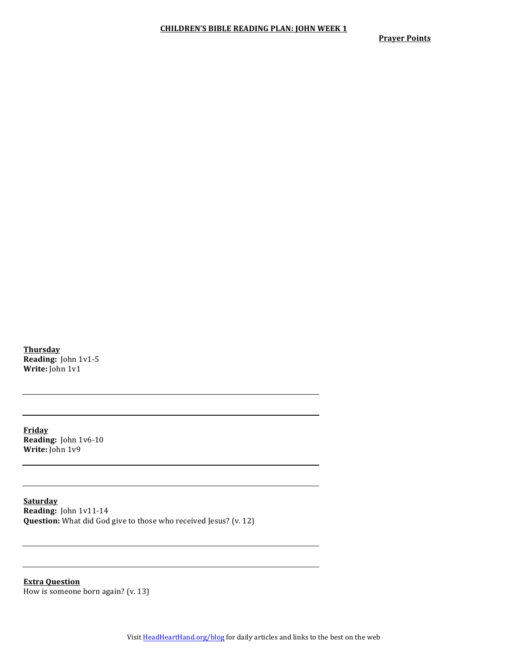**Prayer Points** 

**Thursday Reading:** John 1v1-5 **Write:** John 1v1

**Friday Reading:** John 1v6-10 **Write:** John 1v9

**Saturday Reading:** John 1v11-14 **Question:** What did God give to those who received Jesus? (v. 12)

**Extra Question** How is someone born again? (v. 13)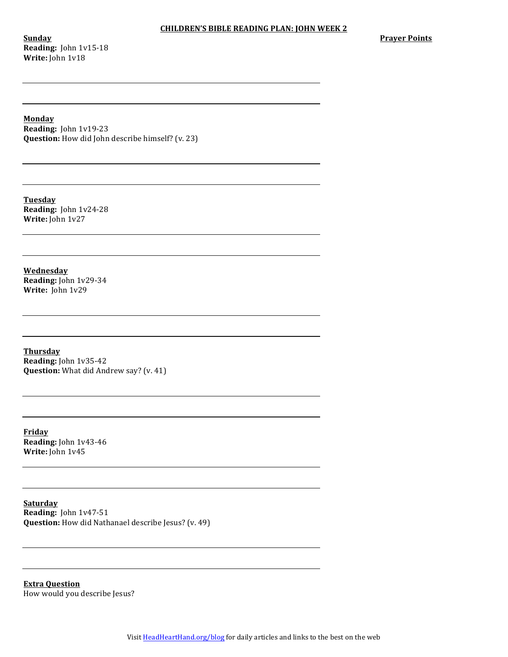**Sunday Reading:** John 1v15-18 **Write:** John 1v18

**Prayer Points** 

**Monday**

**Reading:** John 1v19-23 **Question:** How did John describe himself? (v. 23)

**Tuesday Reading:** John 1v24-28 **Write:** John 1v27

**Wednesday Reading:** John 1v29-34 **Write:** John 1v29

**Thursday Reading:** John 1v35-42 **Question:** What did Andrew say? (v. 41)

**Friday Reading:** John 1v43-46 Write: John 1v45

**Saturday Reading:** John 1v47-51 **Question:** How did Nathanael describe Jesus? (v. 49)

**Extra Question** How would you describe Jesus?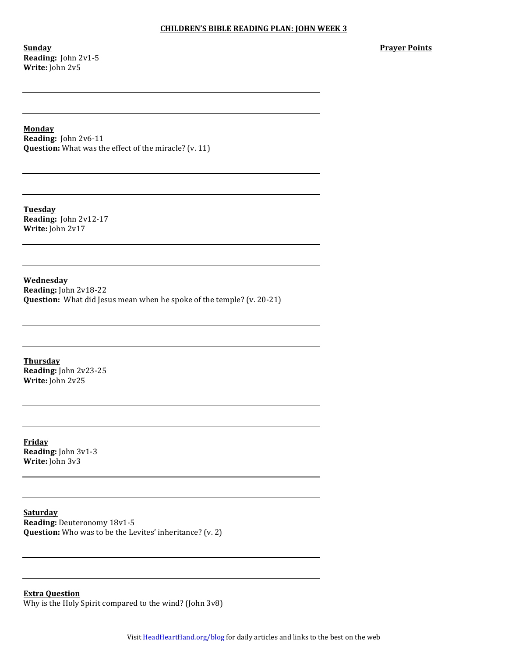**Sunday Reading:** John 2v1-5 **Write:** John 2v5

**Prayer Points**

**Monday**

**Reading:** John 2v6-11 **Question:** What was the effect of the miracle? (v. 11)

**Tuesday Reading:** John 2v12-17 **Write:** John 2v17

**Wednesday Reading:** John 2v18-22 **Question:** What did Jesus mean when he spoke of the temple? (v. 20-21)

**Thursday Reading:** John 2v23-25 **Write:** John 2v25

**Friday Reading:** John 3v1-3 **Write:** John 3v3

**Saturday Reading: Deuteronomy 18v1-5 Question:** Who was to be the Levites' inheritance? (v. 2)

**Extra Question** Why is the Holy Spirit compared to the wind? (John  $3v8$ )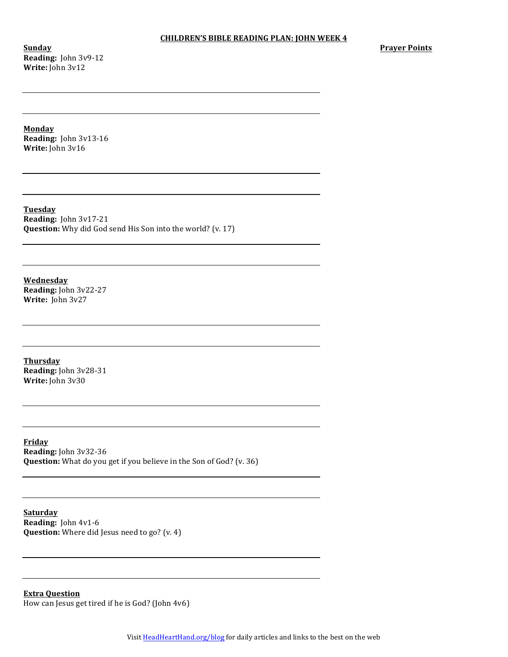**Sunday Reading:** John 3v9-12 **Write:** John 3v12

**Monday Reading:** John 3v13-16 **Write:** John 3v16

**Tuesday Reading:** John 3v17-21 **Question:** Why did God send His Son into the world? (v. 17)

**Wednesday Reading:** John 3v22-27 **Write:** John 3v27

**Thursday Reading:** John 3v28-31 **Write:** John 3v30

**Friday Reading:** John 3v32-36 **Question:** What do you get if you believe in the Son of God? (v. 36)

**Saturday Reading:** John 4v1-6 **Question:** Where did Jesus need to go? (v. 4)

**Extra Question** How can Jesus get tired if he is God? (John 4v6)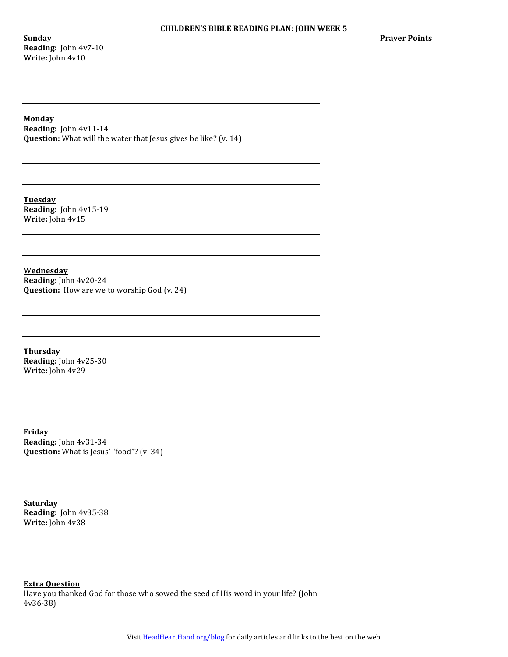**Sunday Reading:** John 4v7-10 **Write:** John 4v10

## **Monday**

**Reading:** John 4v11-14 **Question:** What will the water that Jesus gives be like? (v. 14)

**Tuesday Reading:** John 4v15-19 **Write:** John 4v15

**Wednesday Reading:** John 4v20-24 **Question:** How are we to worship God (v. 24)

**Thursday Reading:** John 4v25-30 **Write:** John 4v29

**Friday Reading:** John 4v31-34 **Question:** What is Jesus' "food"? (v. 34)

**Saturday Reading:** John 4v35-38 **Write:** John 4v38

**Extra Question**

Have you thanked God for those who sowed the seed of His word in your life? (John 4v36-38)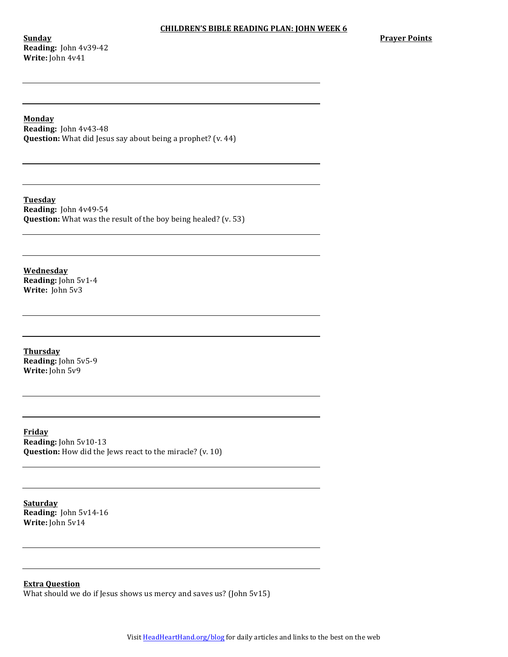**Sunday Reading:** John 4v39-42 **Write:** John 4v41

## **Monday**

**Reading:** John 4v43-48 **Question:** What did Jesus say about being a prophet? (v. 44)

**Tuesday Reading:** John 4v49-54 **Question:** What was the result of the boy being healed? (v. 53)

**Wednesday Reading:** John 5v1-4 **Write:** John 5v3

**Thursday Reading:** John 5v5-9 **Write:** John 5v9

**Friday Reading:** John 5v10-13 **Question:** How did the Jews react to the miracle? (v. 10)

**Saturday Reading:** John 5v14-16 **Write:** John 5v14

**Extra Question**

What should we do if Jesus shows us mercy and saves us? (John  $5v15$ )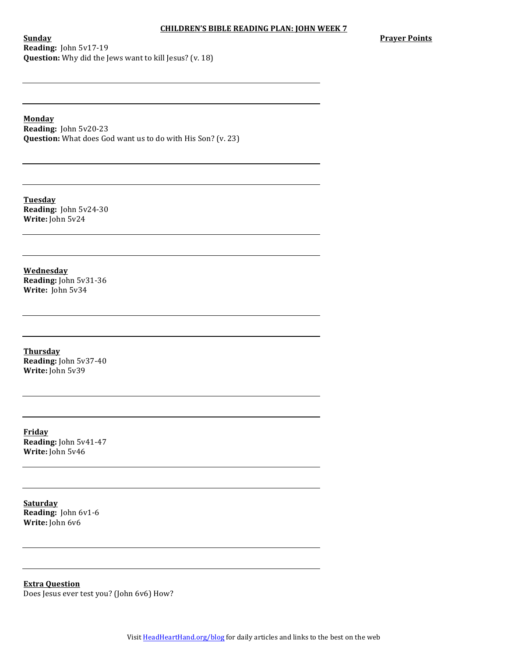**Sunday Reading:** John 5v17-19 **Question:** Why did the Jews want to kill Jesus? (v. 18) **Prayer Points** 

**Monday**

**Reading:** John 5v20-23 **Question:** What does God want us to do with His Son? (v. 23)

**Tuesday Reading:** John 5v24-30 **Write:** John 5v24

**Wednesday Reading:** John 5v31-36 **Write:** John 5v34

**Thursday Reading:** John 5v37-40 **Write:** John 5v39

**Friday Reading:** John 5v41-47 **Write:** John 5v46

**Saturday Reading:** John 6v1-6 **Write:** John 6v6

**Extra Question** Does Jesus ever test you? (John 6v6) How?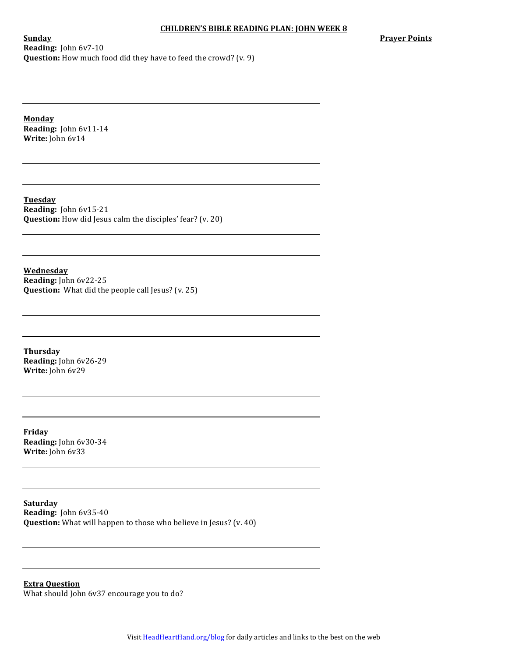**Prayer Points** 

**Sunday Reading:** John 6v7-10 **Question:** How much food did they have to feed the crowd? (v. 9)

**Monday Reading:** John 6v11-14 **Write:** John 6v14

**Tuesday Reading:** John 6v15-21 **Question:** How did Jesus calm the disciples' fear? (v. 20)

**Wednesday Reading:** John 6v22-25 **Question:** What did the people call Jesus? (v. 25)

**Thursday Reading:** John 6v26-29 **Write:** John 6v29

**Friday Reading:** John 6v30-34 **Write:** John 6v33

**Saturday Reading:** John 6v35-40 **Question:** What will happen to those who believe in Jesus? (v. 40)

**Extra Question** What should John 6v37 encourage you to do?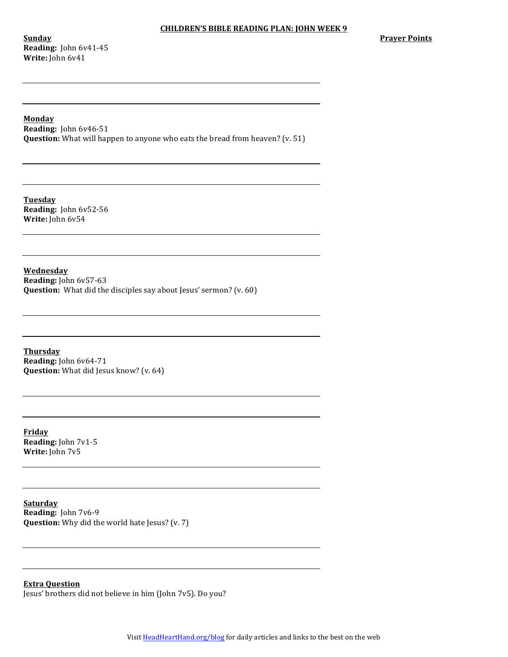**Sunday Reading:** John 6v41-45 **Write:** John 6v41

# **Monday**

**Reading:** John 6v46-51 **Question:** What will happen to anyone who eats the bread from heaven? (v. 51)

**Tuesday Reading:** John 6v52-56 **Write:** John 6v54

**Wednesday Reading:** John 6v57-63 **Question:** What did the disciples say about Jesus' sermon? (v. 60)

**Thursday Reading:** John 6v64-71 **Question:** What did Jesus know? (v. 64)

**Friday Reading:** John 7v1-5 **Write:** John 7v5

**Saturday Reading:** John 7v6-9 **Question:** Why did the world hate Jesus? (v. 7)

**Extra Question**

Jesus' brothers did not believe in him (John 7v5). Do you?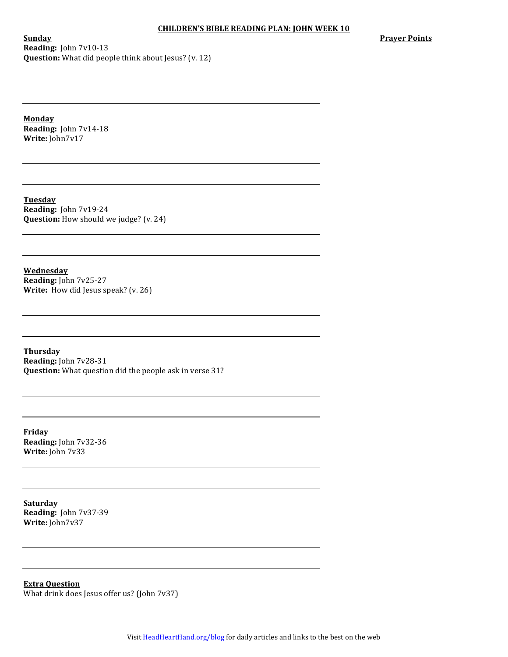**Sunday Reading:** John 7v10-13 **Question:** What did people think about Jesus? (v. 12) **Prayer Points** 

**Monday Reading:** John 7v14-18 **Write:** John7v17

**Tuesday Reading:** John 7v19-24 **Question:** How should we judge? (v. 24)

**Wednesday Reading:** John 7v25-27 **Write:** How did Jesus speak? (v. 26)

**Thursday Reading:** John 7v28-31 **Question:** What question did the people ask in verse 31?

**Friday Reading:** John 7v32-36 **Write:** John 7v33

**Saturday Reading:** John 7v37-39 Write: John7v37

**Extra Question** What drink does Jesus offer us? (John 7v37)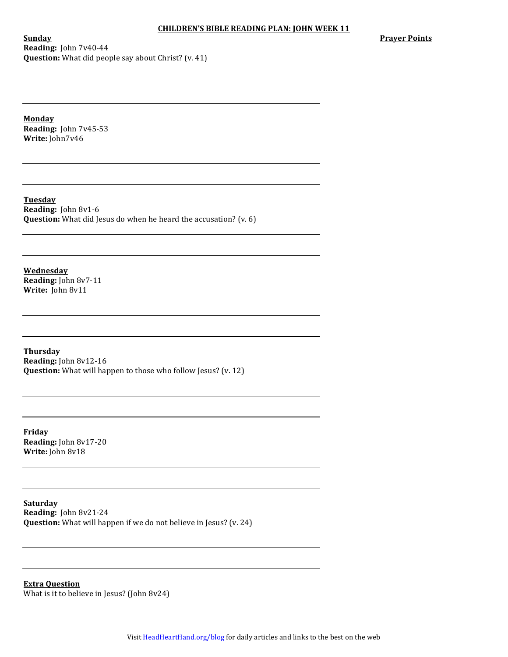**Sunday Reading:** John 7v40-44 **Question:** What did people say about Christ? (v. 41) **Prayer Points** 

**Monday Reading:** John 7v45-53 **Write:** John7v46

**Tuesday Reading:** John 8v1-6 **Question:** What did Jesus do when he heard the accusation? (v. 6)

**Wednesday Reading:** John 8v7-11 Write: John 8v11

**Thursday Reading:** John 8v12-16 **Question:** What will happen to those who follow Jesus? (v. 12)

**Friday Reading:** John 8v17-20 **Write:** John 8v18

**Saturday Reading:** John 8v21-24 **Question:** What will happen if we do not believe in Jesus? (v. 24)

**Extra Question** What is it to believe in Jesus? (John  $8v24$ )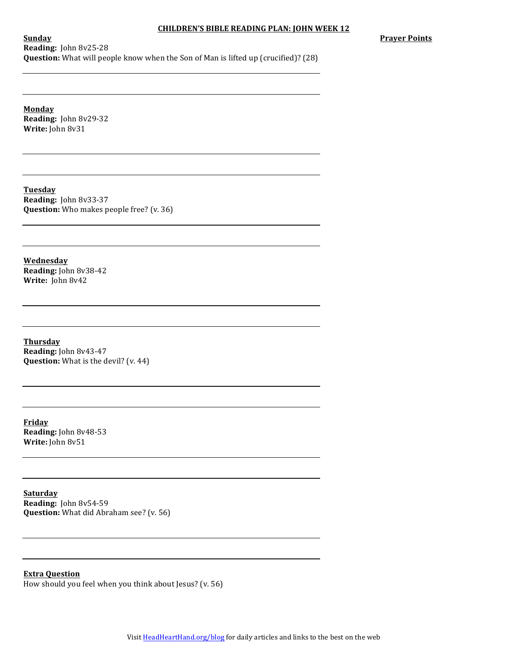**Sunday Reading:** John 8v25-28 **Question:** What will people know when the Son of Man is lifted up (crucified)? (28) **Prayer Points** 

**Monday Reading:** John 8v29-32 **Write:** John 8v31

**Tuesday Reading:** John 8v33-37 **Question:** Who makes people free? (v. 36)

**Wednesday Reading:** John 8v38-42 **Write:** John 8v42

**Thursday Reading:** John 8v43-47 **Question:** What is the devil? (v. 44)

**Friday Reading:** John 8v48-53 **Write:** John 8v51

**Saturday Reading:** John 8v54-59 **Question:** What did Abraham see? (v. 56)

**Extra Question** How should you feel when you think about Jesus? (v. 56)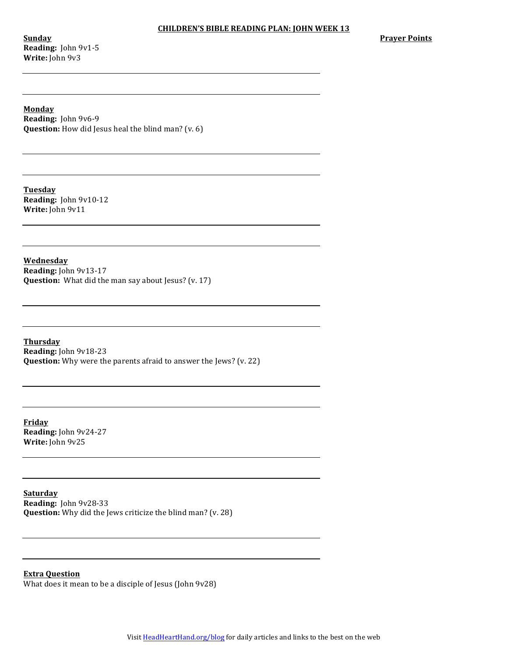**Sunday Reading:** John 9v1-5 **Write:** John 9v3

**Prayer Points** 

**Monday Reading:** John 9v6-9 **Question:** How did Jesus heal the blind man? (v. 6)

**Tuesday Reading:** John 9v10-12 **Write:** John 9v11

**Wednesday Reading:** John 9v13-17 **Question:** What did the man say about Jesus? (v. 17)

**Thursday Reading:** John 9v18-23 **Question:** Why were the parents afraid to answer the Jews? (v. 22)

**Friday Reading:** John 9v24-27 **Write:** John 9v25

**Saturday Reading:** John 9v28-33 **Question:** Why did the Jews criticize the blind man? (v. 28)

**Extra Question** What does it mean to be a disciple of Jesus (John 9v28)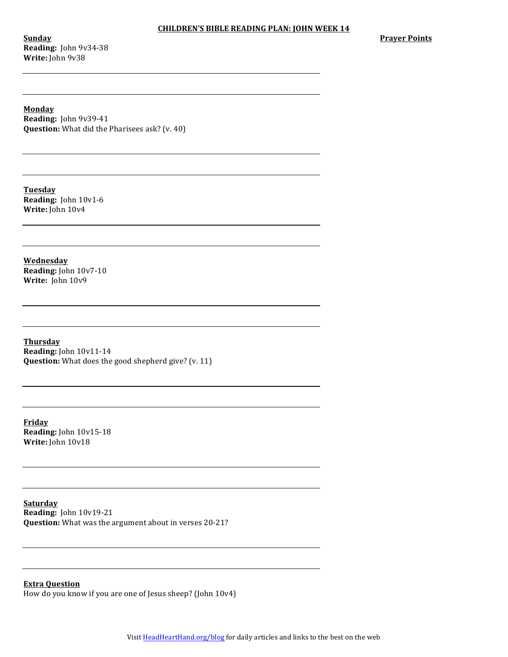**Sunday Reading:** John 9v34-38 **Write:** John 9v38

**Prayer Points** 

**Monday Reading:** John 9v39-41 **Question:** What did the Pharisees ask? (v. 40)

**Tuesday Reading:** John 10v1-6 **Write:** John 10v4

**Wednesday Reading:** John 10v7-10 Write: John 10v9

**Thursday Reading:** John 10v11-14 **Question:** What does the good shepherd give? (v. 11)

**Friday Reading:** John 10v15-18 **Write:** John 10v18

**Saturday Reading:** John 10v19-21 **Question:** What was the argument about in verses 20-21?

**Extra Question** How do you know if you are one of Jesus sheep? (John 10v4)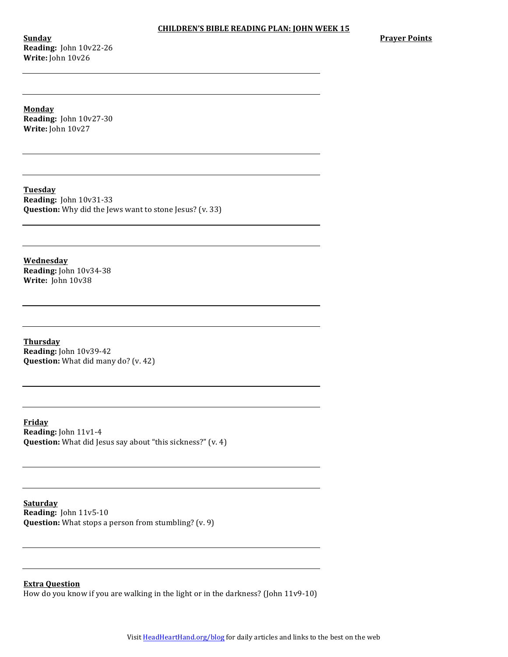**Sunday Reading:** John 10v22-26 **Write:** John 10v26

**Prayer Points** 

**Monday Reading:** John 10v27-30 **Write:** John 10v27

**Tuesday Reading:** John 10v31-33 **Question:** Why did the Jews want to stone Jesus? (v. 33)

**Wednesday Reading:** John 10v34-38 **Write:** John 10v38

**Thursday Reading:** John 10v39-42 **Question:** What did many do? (v. 42)

**Friday Reading:** John 11v1-4 **Question:** What did Jesus say about "this sickness?" (v. 4)

**Saturday Reading:** John 11v5-10 **Question:** What stops a person from stumbling? (v. 9)

**Extra Question**

How do you know if you are walking in the light or in the darkness? (John  $11v9-10$ )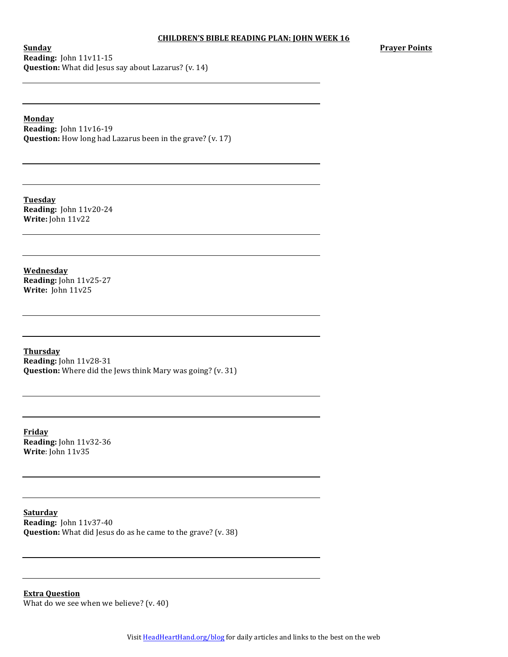**Sunday Reading:** John 11v11-15 **Question:** What did Jesus say about Lazarus? (v. 14) **Prayer Points**

**Monday**

**Reading:** John 11v16-19 **Question:** How long had Lazarus been in the grave? (v. 17)

**Tuesday Reading:** John 11v20-24 **Write:** John 11v22

**Wednesday Reading:** John 11v25-27 **Write:** John 11v25

**Thursday Reading:** John 11v28-31 **Question:** Where did the Jews think Mary was going? (v. 31)

**Friday Reading:** John 11v32-36 **Write**: John 11v35

**Saturday Reading:** John 11v37-40 **Question:** What did Jesus do as he came to the grave? (v. 38)

**Extra Question** What do we see when we believe?  $(v. 40)$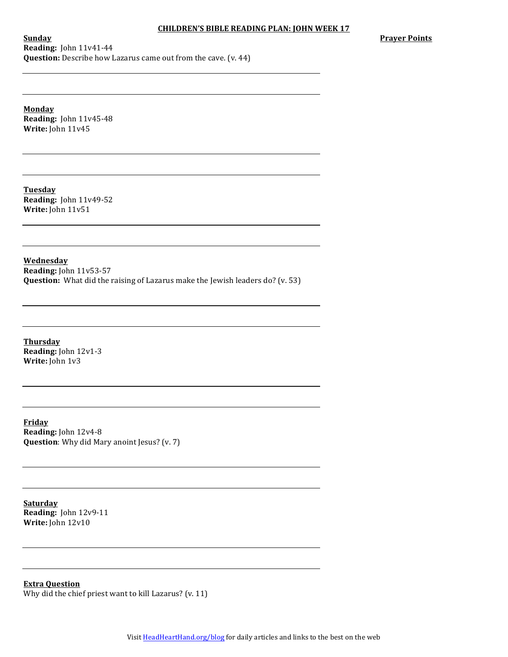**Prayer Points** 

**Sunday Reading:** John 11v41-44 **Question:** Describe how Lazarus came out from the cave. (v. 44)

**Monday Reading:** John 11v45-48 **Write:** John 11v45

**Tuesday Reading:** John 11v49-52 **Write:** John 11v51

**Wednesday Reading:** John 11v53-57 **Question:** What did the raising of Lazarus make the Jewish leaders do? (v. 53)

**Thursday Reading:** John 12v1-3 **Write:** John 1v3

**Friday Reading:** John 12v4-8 **Question**: Why did Mary anoint Jesus? (v. 7)

**Saturday Reading:** John 12v9-11 **Write:** John 12v10

**Extra Question** Why did the chief priest want to kill Lazarus?  $(v. 11)$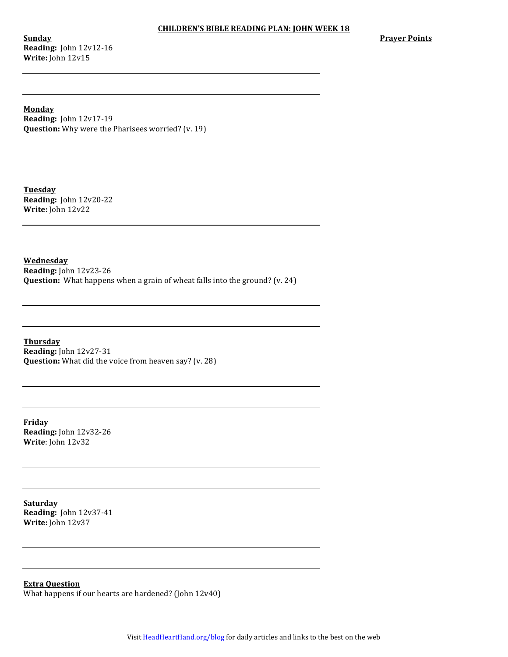**Sunday Reading:** John 12v12-16 **Write:** John 12v15

**Prayer Points** 

**Monday Reading:** John 12v17-19 **Question:** Why were the Pharisees worried? (v. 19)

**Tuesday Reading:** John 12v20-22 **Write:** John 12v22

**Wednesday Reading:** John 12v23-26 **Question:** What happens when a grain of wheat falls into the ground? (v. 24)

**Thursday Reading:** John 12v27-31 **Question:** What did the voice from heaven say? (v. 28)

**Friday Reading:** John 12v32-26 **Write**: John 12v32

**Saturday Reading:** John 12v37-41 **Write:** John 12v37

**Extra Question**

What happens if our hearts are hardened? (John  $12v40$ )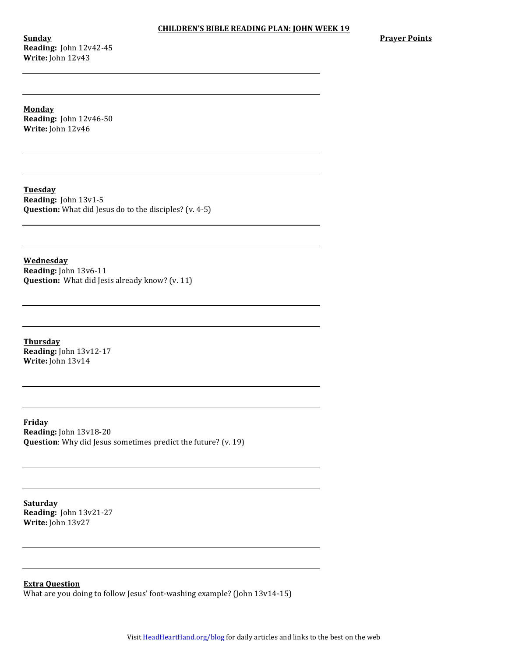**Sunday Reading:** John 12v42-45 **Write:** John 12v43

**Prayer Points** 

**Monday Reading:** John 12v46-50 **Write:** John 12v46

**Tuesday Reading:** John 13v1-5 **Question:** What did Jesus do to the disciples? (v. 4-5)

**Wednesday Reading:** John 13v6-11 **Question:** What did Jesis already know? (v. 11)

**Thursday Reading:** John 13v12-17 **Write:** John 13v14

**Friday Reading:** John 13v18-20 **Question**: Why did Jesus sometimes predict the future? (v. 19)

**Saturday Reading:** John 13v21-27 **Write:** John 13v27

**Extra Question**

What are you doing to follow Jesus' foot-washing example? (John  $13v14-15$ )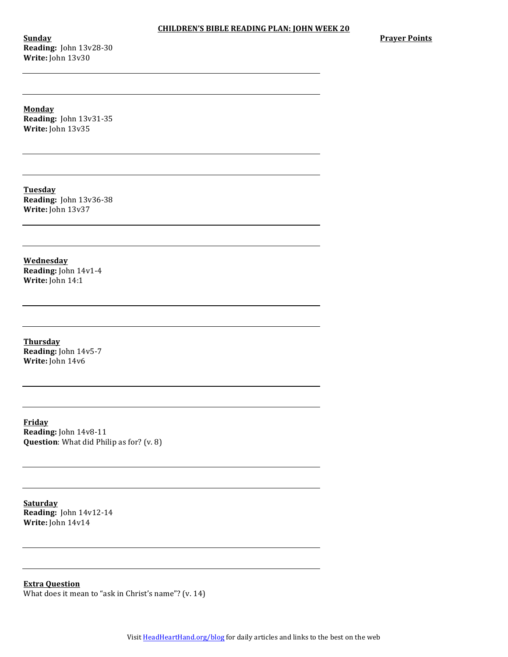**Sunday Reading:** John 13v28-30 **Write:** John 13v30

**Prayer Points** 

**Monday Reading:** John 13v31-35 **Write:** John 13v35

**Tuesday Reading:** John 13v36-38 **Write:** John 13v37

**Wednesday Reading:** John 14v1-4 **Write:** John 14:1

**Thursday Reading:** John 14v5-7 **Write:** John 14v6

**Friday Reading:** John 14v8-11 **Question**: What did Philip as for? (v. 8)

**Saturday Reading:** John 14v12-14 **Write:** John 14v14

**Extra Question** What does it mean to "ask in Christ's name"?  $(v. 14)$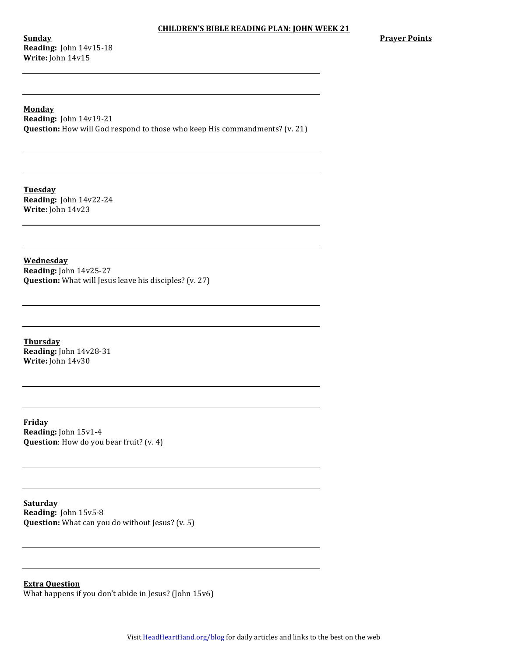**Sunday Reading:** John 14v15-18 **Write:** John 14v15

**Monday Reading:** John 14v19-21 **Question:** How will God respond to those who keep His commandments? (v. 21)

**Tuesday Reading:** John 14v22-24 **Write:** John 14v23

**Wednesday Reading:** John 14v25-27 **Question:** What will Jesus leave his disciples? (v. 27)

**Thursday Reading:** John 14v28-31 **Write:** John 14v30

**Friday Reading:** John 15v1-4 **Question**: How do you bear fruit? (v. 4)

**Saturday Reading:** John 15v5-8 **Question:** What can you do without Jesus? (v. 5)

**Extra Question** What happens if you don't abide in Jesus? (John  $15v6$ )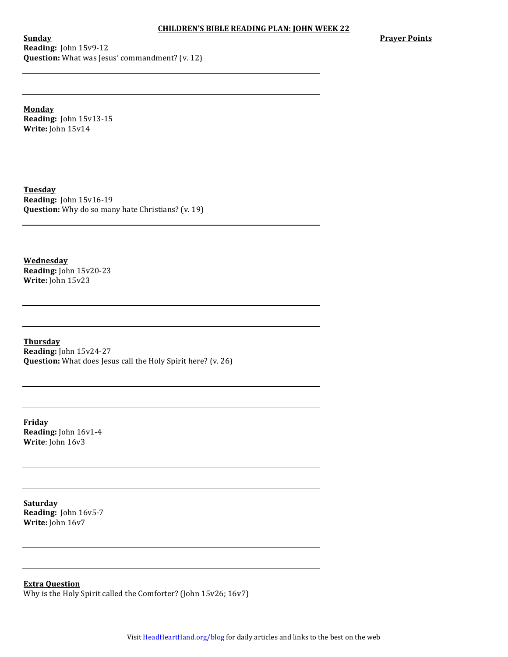**Sunday Reading:** John 15v9-12 **Question:** What was Jesus' commandment? (v. 12) **Prayer Points** 

**Monday Reading:** John 15v13-15 **Write:** John 15v14

**Tuesday Reading:** John 15v16-19 **Question:** Why do so many hate Christians? (v. 19)

**Wednesday Reading:** John 15v20-23 **Write:** John 15v23

**Thursday Reading:** John 15v24-27 **Question:** What does Jesus call the Holy Spirit here? (v. 26)

**Friday Reading:** John 16v1-4 **Write**: John 16v3

**Saturday Reading:** John 16v5-7 **Write:** John 16v7

**Extra Question**

Why is the Holy Spirit called the Comforter? (John 15v26; 16v7)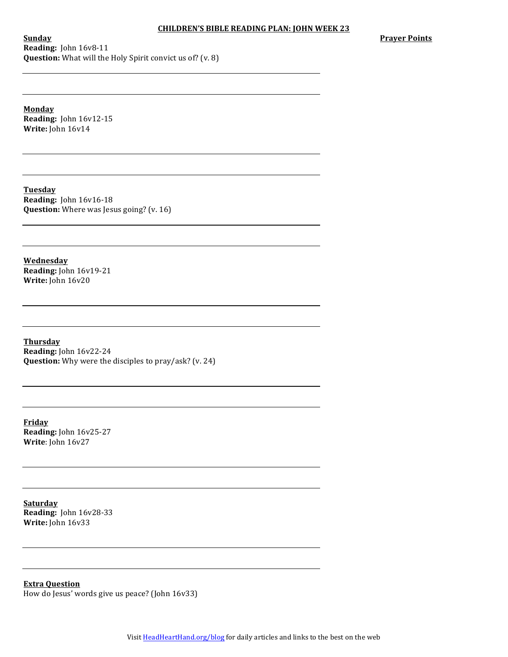### **CHILDREN'S BIBLE READING PLAN: JOHN WEEK 23**

**Prayer Points** 

**Sunday Reading:** John 16v8-11 **Question:** What will the Holy Spirit convict us of? (v. 8)

**Monday Reading:** John 16v12-15 **Write:** John 16v14

**Tuesday Reading:** John 16v16-18 **Question:** Where was Jesus going? (v. 16)

**Wednesday Reading:** John 16v19-21 **Write:** John 16v20

**Thursday Reading:** John 16v22-24 **Question:** Why were the disciples to pray/ask? (v. 24)

**Friday Reading:** John 16v25-27 **Write**: John 16v27

**Saturday Reading:** John 16v28-33 **Write:** John 16v33

**Extra Question** How do Jesus' words give us peace? (John 16v33)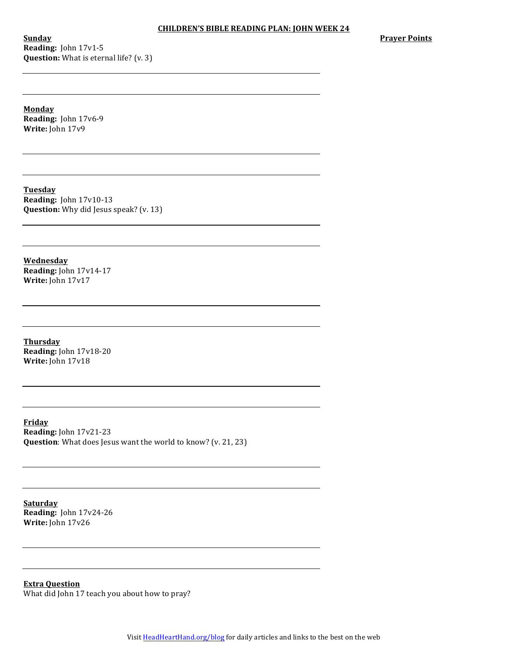**Sunday Reading:** John 17v1-5 **Question:** What is eternal life? (v. 3) **Prayer Points** 

**Monday Reading:** John 17v6-9 Write: John 17v9

**Tuesday Reading:** John 17v10-13 **Question:** Why did Jesus speak? (v. 13)

**Wednesday Reading:** John 17v14-17 **Write:** John 17v17

**Thursday Reading:** John 17v18-20 **Write:** John 17v18

**Friday Reading:** John 17v21-23 **Question**: What does Jesus want the world to know? (v. 21, 23)

**Saturday Reading:** John 17v24-26 **Write:** John 17v26

**Extra Question** What did John 17 teach you about how to pray?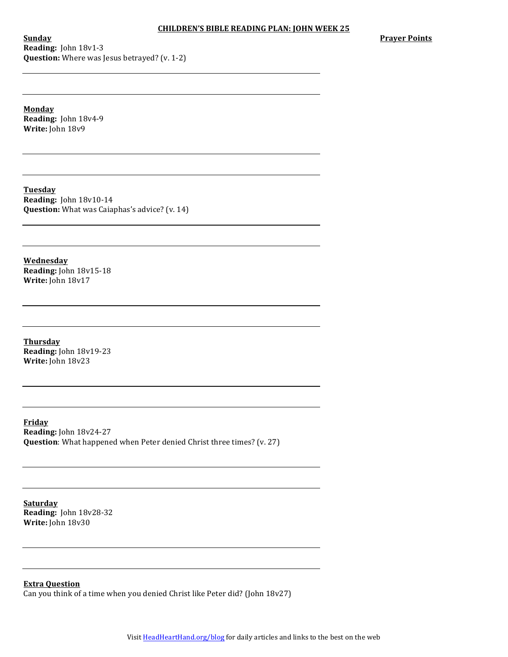**Sunday Reading:** John 18v1-3 **Question:** Where was Jesus betrayed? (v. 1-2) **Prayer Points** 

**Monday Reading:** John 18v4-9 **Write:** John 18v9

**Tuesday Reading:** John 18v10-14 **Question:** What was Caiaphas's advice? (v. 14)

**Wednesday Reading:** John 18v15-18 **Write:** John 18v17

**Thursday Reading:** John 18v19-23 **Write:** John 18v23

**Friday Reading:** John 18v24-27 **Question**: What happened when Peter denied Christ three times? (v. 27)

**Saturday Reading:** John 18v28-32 **Write:** John 18v30

**Extra Question**

Can you think of a time when you denied Christ like Peter did? (John 18v27)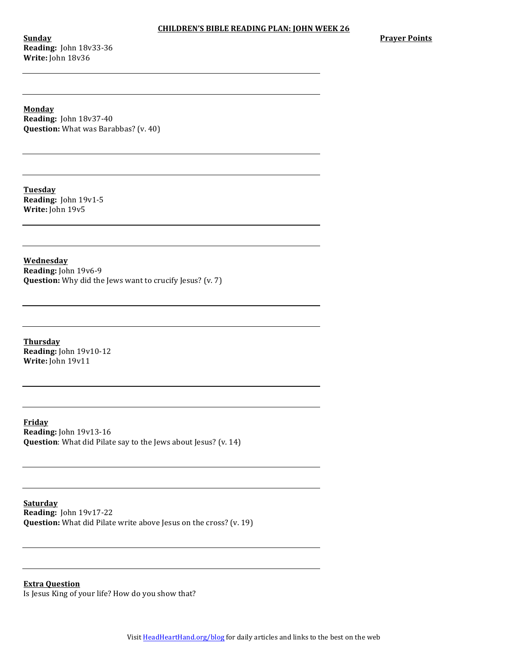**Sunday Reading:** John 18v33-36 **Write:** John 18v36

**Prayer Points** 

**Monday Reading:** John 18v37-40 **Question:** What was Barabbas? (v. 40)

**Tuesday Reading:** John 19v1-5 **Write:** John 19v5

**Wednesday Reading:** John 19v6-9 **Question:** Why did the Jews want to crucify Jesus? (v. 7)

**Thursday Reading:** John 19v10-12 **Write:** John 19v11

**Friday Reading:** John 19v13-16 **Question**: What did Pilate say to the Jews about Jesus? (v. 14)

**Saturday Reading:** John 19v17-22 **Question:** What did Pilate write above Jesus on the cross? (v. 19)

**Extra Question** Is Jesus King of your life? How do you show that?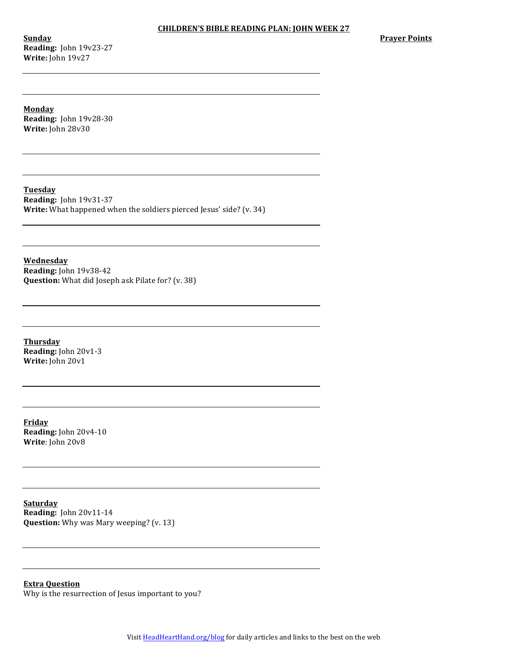**Sunday Reading:** John 19v23-27 **Write:** John 19v27

**Prayer Points** 

**Monday Reading:** John 19v28-30 **Write:** John 28v30

**Tuesday Reading:** John 19v31-37 **Write:** What happened when the soldiers pierced Jesus' side? (v. 34)

**Wednesday Reading:** John 19v38-42 **Question:** What did Joseph ask Pilate for? (v. 38)

**Thursday Reading:** John 20v1-3 **Write:** John 20v1

**Friday Reading:** John 20v4-10 **Write**: John 20v8

**Saturday Reading:** John 20v11-14 **Question:** Why was Mary weeping? (v. 13)

**Extra Question** Why is the resurrection of Jesus important to you?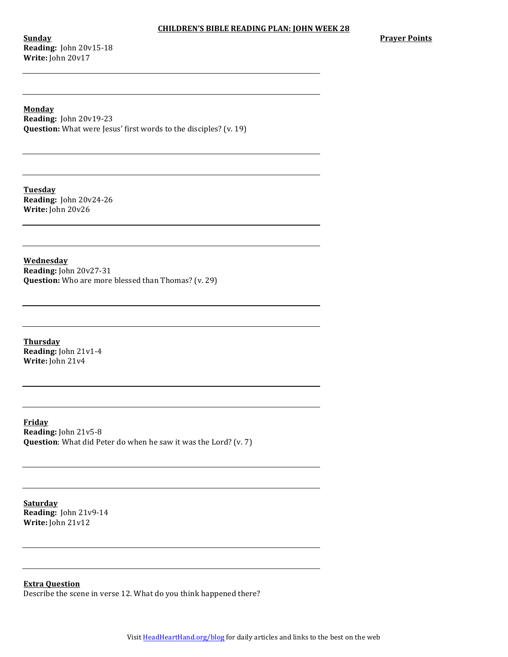### **CHILDREN'S BIBLE READING PLAN: JOHN WEEK 28**

**Sunday Reading:** John 20v15-18 **Write:** John 20v17

**Monday Reading:** John 20v19-23 **Question:** What were Jesus' first words to the disciples? (v. 19)

**Tuesday Reading:** John 20v24-26 **Write:** John 20v26

**Wednesday Reading:** John 20v27-31 **Question:** Who are more blessed than Thomas? (v. 29)

**Thursday Reading: John 21v1-4 Write:** John 21v4

**Friday Reading:** John 21v5-8 **Question**: What did Peter do when he saw it was the Lord? (v. 7)

**Saturday Reading:** John 21v9-14 **Write:** John 21v12

**Extra Question**

Describe the scene in verse 12. What do you think happened there?